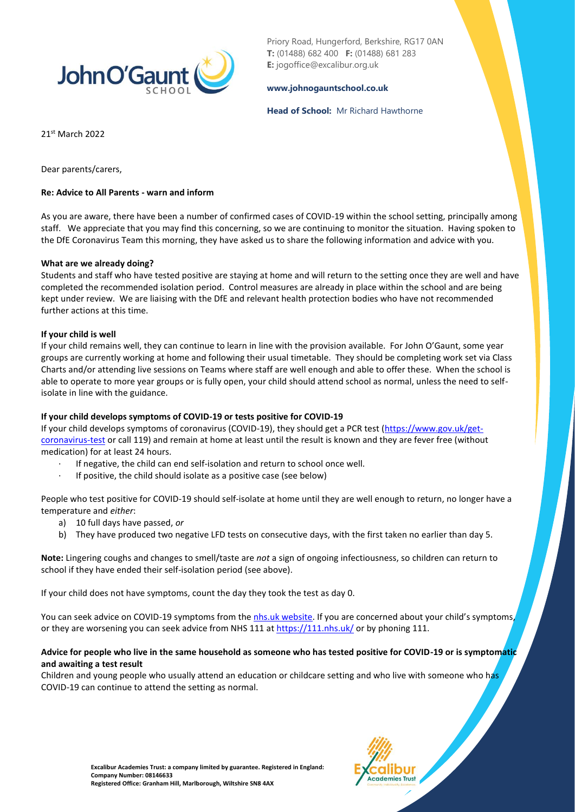

Priory Road, Hungerford, Berkshire, RG17 0AN **T:** (01488) 682 400 **F:** (01488) 681 283 **E:** jogoffice@excalibur.org.uk

### **[www.johnogauntschool.co.uk](http://www.johnogauntschool.co.uk/)**

### **Head of School:** Mr Richard Hawthorne

21st March 2022

Dear parents/carers,

### **Re: Advice to All Parents - warn and inform**

As you are aware, there have been a number of confirmed cases of COVID-19 within the school setting, principally among staff.We appreciate that you may find this concerning, so we are continuing to monitor the situation. Having spoken to the DfE Coronavirus Team this morning, they have asked us to share the following information and advice with you.

### **What are we already doing?**

Students and staff who have tested positive are staying at home and will return to the setting once they are well and have completed the recommended isolation period. Control measures are already in place within the school and are being kept under review. We are liaising with the DfE and relevant health protection bodies who have not recommended further actions at this time.

### **If your child is well**

If your child remains well, they can continue to learn in line with the provision available. For John O'Gaunt, some year groups are currently working at home and following their usual timetable. They should be completing work set via Class Charts and/or attending live sessions on Teams where staff are well enough and able to offer these. When the school is able to operate to more year groups or is fully open, your child should attend school as normal, unless the need to selfisolate in line with the guidance.

### **If your child develops symptoms of COVID-19 or tests positive for COVID-19**

If your child develops symptoms of coronavirus (COVID-19), they should get a PCR test [\(https://www.gov.uk/get](https://www.gov.uk/get-coronavirus-test)[coronavirus-test](https://www.gov.uk/get-coronavirus-test) or call 119) and remain at home at least until the result is known and they are fever free (without medication) for at least 24 hours.

- If negative, the child can end self-isolation and return to school once well.
- If positive, the child should isolate as a positive case (see below)

People who test positive for COVID-19 should self-isolate at home until they are well enough to return, no longer have a temperature and *either*:

- a) 10 full days have passed, *or*
- b) They have produced two negative LFD tests on consecutive days, with the first taken no earlier than day 5.

**Note:** Lingering coughs and changes to smell/taste are *not* a sign of ongoing infectiousness, so children can return to school if they have ended their self-isolation period (see above).

If your child does not have symptoms, count the day they took the test as day 0.

You can seek advice on COVID-19 symptoms from th[e nhs.uk website](https://www.nhs.uk/conditions/coronavirus-covid-19/check-if-you-have-coronavirus-symptoms/). If you are concerned about your child's symptoms, or they are worsening you can seek advice from NHS 111 a[t https://111.nhs.uk/](https://111.nhs.uk/) or by phoning 111.

### **Advice for people who live in the same household as someone who has tested positive for COVID-19 or is symptomatic and awaiting a test result**

Children and young people who usually attend an education or childcare setting and who live with someone who has COVID-19 can continue to attend the setting as normal.

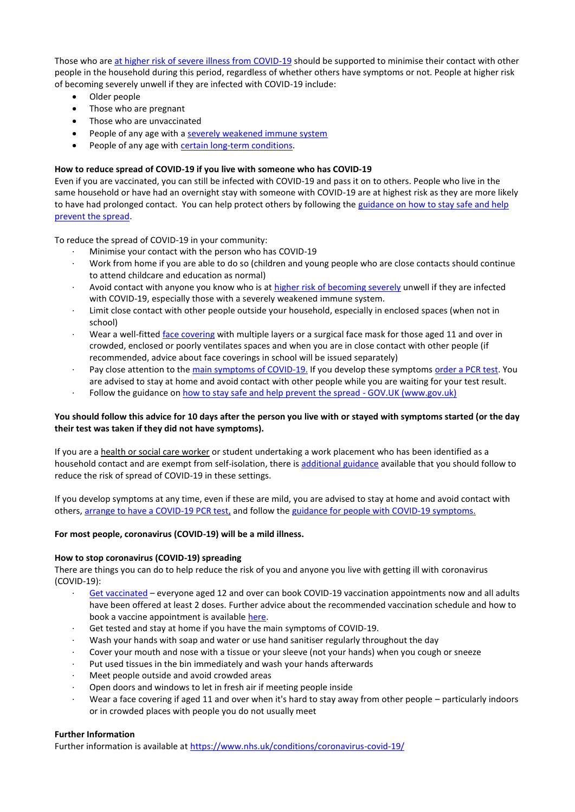Those who ar[e at higher risk of severe illness from COVID-19](https://www.gov.uk/government/publications/guidance-on-shielding-and-protecting-extremely-vulnerable-persons-from-covid-19/guidance-on-shielding-and-protecting-extremely-vulnerable-persons-from-covid-19) should be supported to minimise their contact with other people in the household during this period, regardless of whether others have symptoms or not. People at higher risk of becoming severely unwell if they are infected with COVID-19 include:

- Older people
- Those who are pregnant
- Those who are unvaccinated
- People of any age with [a severely weakened immune system](https://www.gov.uk/government/publications/covid-19-guidance-for-people-whose-immune-system-means-they-are-at-higher-risk)
- People of any age with [certain long-term conditions.](https://www.nhs.uk/conditions/coronavirus-covid-19/people-at-higher-risk/who-is-at-high-risk-from-coronavirus/)

# **How to reduce spread of COVID-19 if you live with someone who has COVID-19**

Even if you are vaccinated, you can still be infected with COVID-19 and pass it on to others. People who live in the same household or have had an overnight stay with someone with COVID-19 are at highest risk as they are more likely to have had prolonged contact. You can help protect others by following the guidance on how to stay safe and help [prevent the spread.](https://www.gov.uk/guidance/covid-19-coronavirus-restrictions-what-you-can-and-cannot-do#keeping-yourself-and-others-safe) 

To reduce the spread of COVID-19 in your community:

- Minimise your contact with the person who has COVID-19
- · Work from home if you are able to do so (children and young people who are close contacts should continue to attend childcare and education as normal)
- Avoid contact with anyone you know who is at [higher risk of becoming severely](https://www.gov.uk/government/publications/covid-19-people-with-covid-19-and-their-contacts/covid-19-people-with-covid-19-and-their-contacts#higherrisk) unwell if they are infected with COVID-19, especially those with a severely weakened immune system.
- · Limit close contact with other people outside your household, especially in enclosed spaces (when not in school)
- Wear a well-fitte[d face covering](https://www.gov.uk/government/publications/face-coverings-when-to-wear-one-and-how-to-make-your-own) with multiple layers or a surgical face mask for those aged 11 and over in crowded, enclosed or poorly ventilates spaces and when you are in close contact with other people (if recommended, advice about face coverings in school will be issued separately)
- · Pay close attention to the [main symptoms of COVID-19.](https://www.gov.uk/government/publications/covid-19-people-with-covid-19-and-their-contacts/covid-19-people-with-covid-19-and-their-contacts#symptoms) If you develop these symptoms [order a PCR test.](https://www.gov.uk/get-coronavirus-test) You are advised to stay at home and avoid contact with other people while you are waiting for your test result.
- Follow the guidance on [how to stay safe and help prevent the spread -](https://www.gov.uk/guidance/covid-19-coronavirus-restrictions-what-you-can-and-cannot-do#keeping-yourself-and-others-safe) GOV.UK (www.gov.uk)

# **You should follow this advice for 10 days after the person you live with or stayed with symptoms started (or the day their test was taken if they did not have symptoms).**

If you are a health or social care worker or student undertaking a work placement who has been identified as a household contact and are exempt from self-isolation, there is [additional guidance](https://www.gov.uk/government/publications/covid-19-management-of-exposed-healthcare-workers-and-patients-in-hospital-settings/covid-19-management-of-exposed-healthcare-workers-and-patients-in-hospital-settings) available that you should follow to reduce the risk of spread of COVID-19 in these settings.

If you develop symptoms at any time, even if these are mild, you are advised to stay at home and avoid contact with others[, arrange to have a COVID-19 PCR test,](https://www.gov.uk/get-coronavirus-test) and follow th[e guidance for people with COVID-19 symptoms.](https://www.gov.uk/government/publications/covid-19-people-with-covid-19-and-their-contacts/covid-19-people-with-covid-19-and-their-contacts)

# **For most people, coronavirus (COVID-19) will be a mild illness.**

### **How to stop coronavirus (COVID-19) spreading**

There are things you can do to help reduce the risk of you and anyone you live with getting ill with coronavirus (COVID-19):

- [Get vaccinated](https://www.nhs.uk/conditions/coronavirus-covid-19/coronavirus-vaccination/) everyone aged 12 and over can book COVID-19 vaccination appointments now and all adults have been offered at least 2 doses. Further advice about the recommended vaccination schedule and how to book a vaccine appointment is available [here.](https://www.nhs.uk/conditions/coronavirus-covid-19/coronavirus-vaccination/)
- Get tested and stay at home if you have the main symptoms of COVID-19.
- · Wash your hands with soap and water or use hand sanitiser regularly throughout the day
- Cover your mouth and nose with a tissue or your sleeve (not your hands) when you cough or sneeze
- · Put used tissues in the bin immediately and wash your hands afterwards
- Meet people outside and avoid crowded areas
- Open doors and windows to let in fresh air if meeting people inside
- Wear a face covering if aged 11 and over when it's hard to stay away from other people particularly indoors or in crowded places with people you do not usually meet

# **Further Information**

Further information is available at<https://www.nhs.uk/conditions/coronavirus-covid-19/>